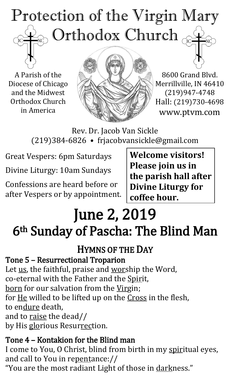## Protection of the Virgin Mary  $_{\odot}$  Orthodox Church  $_{\rm GC}$ TC<sub>1</sub>

A Parish of the Diocese of Chicago and the Midwest Orthodox Church in America



8600 Grand Blvd. Merrillville, IN 46410 (219)947-4748 Hall: (219)730-4698 www.ptvm.com

Rev. Dr. Jacob Van Sickle (219)384-6826 • frjacobvansickle@gmail.com

Great Vespers: 6pm Saturdays

Divine Liturgy: 10am Sundays

Confessions are heard before or after Vespers or by appointment.

**Welcome visitors! Please join us in the parish hall after Divine Liturgy for coffee hour.**

# June 2, 2019 6th Sunday of Pascha: The Blind Man

## HYMNS OF THE DAY

#### Tone 5 – Resurrectional Troparion

Let us, the faithful, praise and worship the Word, co-eternal with the Father and the Spirit, born for our salvation from the Virgin; for He willed to be lifted up on the Cross in the flesh, to endure death, and to raise the dead// by His glorious Resurrection.

#### Tone 4 – Kontakion for the Blind man

I come to You, O Christ, blind from birth in my spiritual eyes, and call to You in repentance://

"You are the most radiant Light of those in darkness."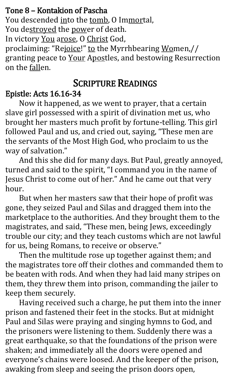#### Tone 8 – Kontakion of Pascha

You descended into the tomb, O Immortal,

You destroyed the power of death.

In victory You arose, O Christ God,

proclaiming: "Rejoice!" to the Myrrhbearing Women,// granting peace to Your Apostles, and bestowing Resurrection on the fallen.

## SCRIPTURE READINGS

### Epistle: Acts 16.16-34

Now it happened, as we went to prayer, that a certain slave girl possessed with a spirit of divination met us, who brought her masters much profit by fortune-telling. This girl followed Paul and us, and cried out, saying, "These men are the servants of the Most High God, who proclaim to us the way of salvation."

And this she did for many days. But Paul, greatly annoyed, turned and said to the spirit, "I command you in the name of Jesus Christ to come out of her." And he came out that very hour.

But when her masters saw that their hope of profit was gone, they seized Paul and Silas and dragged them into the marketplace to the authorities. And they brought them to the magistrates, and said, "These men, being Jews, exceedingly trouble our city; and they teach customs which are not lawful for us, being Romans, to receive or observe."

Then the multitude rose up together against them; and the magistrates tore off their clothes and commanded them to be beaten with rods. And when they had laid many stripes on them, they threw them into prison, commanding the jailer to keep them securely.

Having received such a charge, he put them into the inner prison and fastened their feet in the stocks. But at midnight Paul and Silas were praying and singing hymns to God, and the prisoners were listening to them. Suddenly there was a great earthquake, so that the foundations of the prison were shaken; and immediately all the doors were opened and everyone's chains were loosed. And the keeper of the prison, awaking from sleep and seeing the prison doors open,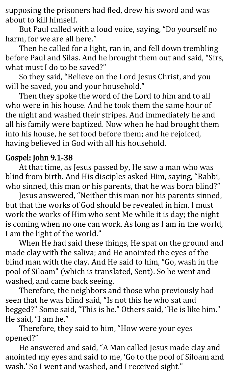supposing the prisoners had fled, drew his sword and was about to kill himself.

But Paul called with a loud voice, saying, "Do yourself no harm, for we are all here."

Then he called for a light, ran in, and fell down trembling before Paul and Silas. And he brought them out and said, "Sirs, what must I do to be saved?"

So they said, "Believe on the Lord Jesus Christ, and you will be saved, you and your household."

Then they spoke the word of the Lord to him and to all who were in his house. And he took them the same hour of the night and washed their stripes. And immediately he and all his family were baptized. Now when he had brought them into his house, he set food before them; and he rejoiced, having believed in God with all his household.

#### Gospel: John 9.1-38

At that time, as Jesus passed by, He saw a man who was blind from birth. And His disciples asked Him, saying, "Rabbi, who sinned, this man or his parents, that he was born blind?"

Jesus answered, "Neither this man nor his parents sinned, but that the works of God should be revealed in him. I must work the works of Him who sent Me while it is day; the night is coming when no one can work. As long as I am in the world, I am the light of the world."

When He had said these things, He spat on the ground and made clay with the saliva; and He anointed the eyes of the blind man with the clay. And He said to him, "Go, wash in the pool of Siloam" (which is translated, Sent). So he went and washed, and came back seeing.

Therefore, the neighbors and those who previously had seen that he was blind said, "Is not this he who sat and begged?" Some said, "This is he." Others said, "He is like him." He said, "I am he."

Therefore, they said to him, "How were your eyes opened?"

He answered and said, "A Man called Jesus made clay and anointed my eyes and said to me, 'Go to the pool of Siloam and wash.' So I went and washed, and I received sight."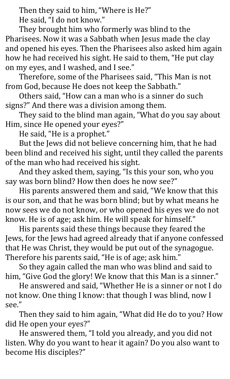Then they said to him, "Where is He?" He said, "I do not know."

They brought him who formerly was blind to the Pharisees. Now it was a Sabbath when Jesus made the clay and opened his eyes. Then the Pharisees also asked him again how he had received his sight. He said to them, "He put clay on my eyes, and I washed, and I see."

Therefore, some of the Pharisees said, "This Man is not from God, because He does not keep the Sabbath."

Others said, "How can a man who is a sinner do such signs?" And there was a division among them.

They said to the blind man again, "What do you say about Him, since He opened your eyes?"

He said, "He is a prophet."

But the Jews did not believe concerning him, that he had been blind and received his sight, until they called the parents of the man who had received his sight.

And they asked them, saying, "Is this your son, who you say was born blind? How then does he now see?"

His parents answered them and said, "We know that this is our son, and that he was born blind; but by what means he now sees we do not know, or who opened his eyes we do not know. He is of age; ask him. He will speak for himself."

His parents said these things because they feared the Jews, for the Jews had agreed already that if anyone confessed that He was Christ, they would be put out of the synagogue. Therefore his parents said, "He is of age; ask him."

So they again called the man who was blind and said to him, "Give God the glory! We know that this Man is a sinner."

He answered and said, "Whether He is a sinner or not I do not know. One thing I know: that though I was blind, now I see."

Then they said to him again, "What did He do to you? How did He open your eyes?"

He answered them, "I told you already, and you did not listen. Why do you want to hear it again? Do you also want to become His disciples?"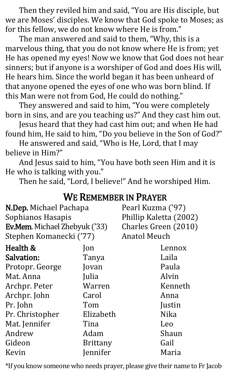Then they reviled him and said, "You are His disciple, but we are Moses' disciples. We know that God spoke to Moses; as for this fellow, we do not know where He is from."

The man answered and said to them, "Why, this is a marvelous thing, that you do not know where He is from; yet He has opened my eyes! Now we know that God does not hear sinners; but if anyone is a worshiper of God and does His will, He hears him. Since the world began it has been unheard of that anyone opened the eyes of one who was born blind. If this Man were not from God, He could do nothing."

They answered and said to him, "You were completely born in sins, and are you teaching us?" And they cast him out.

Jesus heard that they had cast him out; and when He had found him, He said to him, "Do you believe in the Son of God?"

He answered and said, "Who is He, Lord, that I may believe in Him?"

And Jesus said to him, "You have both seen Him and it is He who is talking with you."

Then he said, "Lord, I believe!" And he worshiped Him.

| N.Dep. Michael Pachapa<br>Sophianos Hasapis<br>Ev.Mem. Michael Zhebyuk ('33)<br>Stephen Komanecki ('77) |                 | Pearl Kuzma ('97)<br>Phillip Kaletta (2002)<br>Charles Green (2010)<br><b>Anatol Meuch</b> |  |
|---------------------------------------------------------------------------------------------------------|-----------------|--------------------------------------------------------------------------------------------|--|
| Health &                                                                                                | $\mathsf{lon}$  | Lennox                                                                                     |  |
| <b>Salvation:</b>                                                                                       | Tanya           | Laila                                                                                      |  |
| Protopr. George                                                                                         | Jovan           | Paula                                                                                      |  |
| Mat. Anna                                                                                               | Julia           | Alvin                                                                                      |  |
| Archpr. Peter                                                                                           | Warren          | Kenneth                                                                                    |  |
| Archpr. John                                                                                            | Carol           | Anna                                                                                       |  |
| Pr. John                                                                                                | Tom             | Justin                                                                                     |  |
| Pr. Christopher                                                                                         | Elizabeth       | <b>Nika</b>                                                                                |  |
| Mat. Jennifer                                                                                           | Tina            | Leo                                                                                        |  |
| Andrew                                                                                                  | Adam            | Shaun                                                                                      |  |
| Gideon                                                                                                  | <b>Brittany</b> | Gail                                                                                       |  |
| Kevin                                                                                                   | Jennifer        | Maria                                                                                      |  |
|                                                                                                         |                 |                                                                                            |  |

#### WE REMEMBER IN PRAYER

\*If you know someone who needs prayer, please give their name to Fr Jacob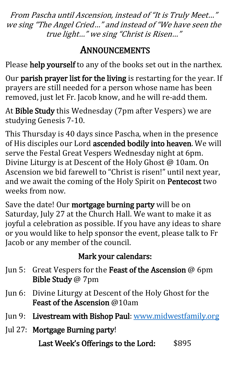From Pascha until Ascension, instead of "It is Truly Meet…" we sing "The Angel Cried…" and instead of "We have seen the true light…" we sing "Christ is Risen…"

## ANNOUNCEMENTS

Please help yourself to any of the books set out in the narthex.

Our parish prayer list for the living is restarting for the year. If prayers are still needed for a person whose name has been removed, just let Fr. Jacob know, and he will re-add them.

At Bible Study this Wednesday (7pm after Vespers) we are studying Genesis 7-10.

This Thursday is 40 days since Pascha, when in the presence of His disciples our Lord ascended bodily into heaven. We will serve the Festal Great Vespers Wednesday night at 6pm. Divine Liturgy is at Descent of the Holy Ghost @ 10am. On Ascension we bid farewell to "Christ is risen!" until next year, and we await the coming of the Holy Spirit on Pentecost two weeks from now.

Save the date! Our mortgage burning party will be on Saturday, July 27 at the Church Hall. We want to make it as joyful a celebration as possible. If you have any ideas to share or you would like to help sponsor the event, please talk to Fr Jacob or any member of the council.

### Mark your calendars:

- Jun 5: Great Vespers for the Feast of the Ascension @ 6pm Bible Study @ 7pm
- Jun 6: Divine Liturgy at Descent of the Holy Ghost for the Feast of the Ascension @10am
- Jun 9: Livestream with Bishop Paul: [www.midwestfamily.org](http://www.midwestfamily.org/)
- Jul 27: Mortgage Burning party!

Last Week's Offerings to the Lord: \$895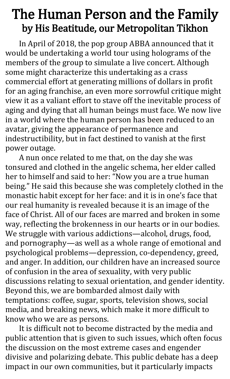## The Human Person and the Family by His Beatitude, our Metropolitan Tikhon

In April of 2018, the pop group ABBA announced that it would be undertaking a world tour using holograms of the members of the group to simulate a live concert. Although some might characterize this undertaking as a crass commercial effort at generating millions of dollars in profit for an aging franchise, an even more sorrowful critique might view it as a valiant effort to stave off the inevitable process of aging and dying that all human beings must face. We now live in a world where the human person has been reduced to an avatar, giving the appearance of permanence and indestructibility, but in fact destined to vanish at the first power outage.

A nun once related to me that, on the day she was tonsured and clothed in the angelic schema, her elder called her to himself and said to her: "Now you are a true human being." He said this because she was completely clothed in the monastic habit except for her face: and it is in one's face that our real humanity is revealed because it is an image of the face of Christ. All of our faces are marred and broken in some way, reflecting the brokenness in our hearts or in our bodies. We struggle with various addictions—alcohol, drugs, food, and pornography—as well as a whole range of emotional and psychological problems—depression, co-dependency, greed, and anger. In addition, our children have an increased source of confusion in the area of sexuality, with very public discussions relating to sexual orientation, and gender identity. Beyond this, we are bombarded almost daily with temptations: coffee, sugar, sports, television shows, social media, and breaking news, which make it more difficult to know who we are as persons.

It is difficult not to become distracted by the media and public attention that is given to such issues, which often focus the discussion on the most extreme cases and engender divisive and polarizing debate. This public debate has a deep impact in our own communities, but it particularly impacts